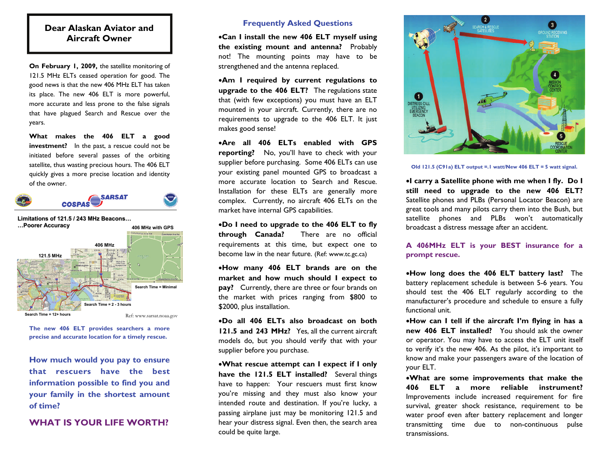### **Dear Alaskan Aviator and Aircraft Owner**

**On February 1, 2009,** the satellite monitoring of 121.5 MHz ELTs ceased operation for good. The good news is that the new 406 MHz ELT has taken its place. The new 406 ELT is more powerful, more accurate and less prone to the false signals that have plagued Search and Rescue over the years.

**What makes the 406 ELT a good investment?** In the past, a rescue could not be initiated before several passes of the orbiting satellite, thus wasting precious hours. The 406 ELT quickly gives a more precise location and identity of the owner.





**The new 406 ELT provides searchers a more precise and accurate location for a timely rescue.** 

**How much would you pay to ensure that rescuers have the best information possible to find you and your family in the shortest amount of time?** 

#### **WHAT IS YOUR LIFE WORTH?**

#### **Frequently Asked Questions**

•**Can I install the new 406 ELT myself using the existing mount and antenna?** Probably not! The mounting points may have to be strengthened and the antenna replaced.

•**Am I required by current regulations to upgrade to the 406 ELT?** The regulations state that (with few exceptions) you must have an ELT mounted in your aircraft. Currently, there are no requirements to upgrade to the 406 ELT. It just makes good sense!

•**Are all 406 ELTs enabled with GPS reporting?** No, you'll have to check with your supplier before purchasing. Some 406 ELTs can use your existing panel mounted GPS to broadcast a more accurate location to Search and Rescue. Installation for these ELTs are generally more complex. Currently, no aircraft 406 ELTs on the market have internal GPS capabilities.

•**Do I need to upgrade to the 406 ELT to fly through Canada?** There are no official requirements at this time, but expect one to become law in the near future. (Ref: www.tc.gc.ca)

•**How many 406 ELT brands are on the market and how much should I expect to pay?** Currently, there are three or four brands on the market with prices ranging from \$800 to \$2000, plus installation.

•**Do all 406 ELTs also broadcast on both 121.5 and 243 MHz?** Yes, all the current aircraft models do, but you should verify that with your supplier before you purchase.

•**What rescue attempt can I expect if I only have the 121.5 ELT installed?** Several things have to happen: Your rescuers must first know you're missing and they must also know your intended route and destination. If you're lucky, a passing airplane just may be monitoring 121.5 and hear your distress signal. Even then, the search area could be quite large.



**Old 121.5 (C91a) ELT output =.1 watt/New 406 ELT = 5 watt signal.** 

•**I carry a Satellite phone with me when I fly. Do I still need to upgrade to the new 406 ELT?**  Satellite phones and PLBs (Personal Locator Beacon) are great tools and many pilots carry them into the Bush, but satellite phones and PLBs won't automatically broadcast a distress message after an accident.

**A 406MHz ELT is your BEST insurance for a prompt rescue.** 

•**How long does the 406 ELT battery last?** The battery replacement schedule is between 5-6 years. You should test the 406 ELT regularly according to the manufacturer's procedure and schedule to ensure a fully functional unit.

•**How can I tell if the aircraft I'm flying in has a new 406 ELT installed?** You should ask the owner or operator. You may have to access the ELT unit itself to verify it's the new 406. As the pilot, it's important to know and make your passengers aware of the location of your ELT.

•**What are some improvements that make the 406 ELT a more reliable instrument?** Improvements include increased requirement for fire survival, greater shock resistance, requirement to be water proof even after battery replacement and longer transmitting time due to non-continuous pulse transmissions.